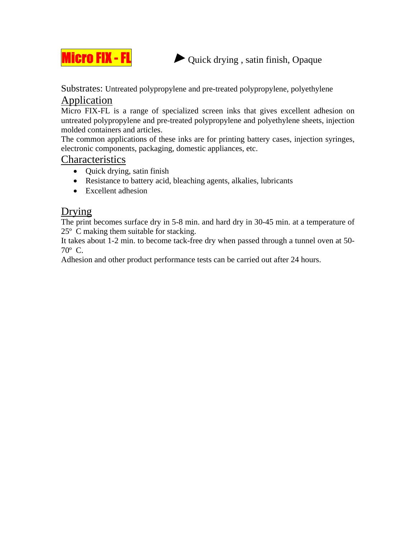

 $\frac{\text{Hcro FIX - FL}}{\text{L}}$   $\rightarrow$  Quick drying, satin finish, Opaque

Substrates: Untreated polypropylene and pre-treated polypropylene, polyethylene

## Application

Micro FIX-FL is a range of specialized screen inks that gives excellent adhesion on untreated polypropylene and pre-treated polypropylene and polyethylene sheets, injection molded containers and articles.

The common applications of these inks are for printing battery cases, injection syringes, electronic components, packaging, domestic appliances, etc.

#### **Characteristics**

- Quick drying, satin finish
- Resistance to battery acid, bleaching agents, alkalies, lubricants
- Excellent adhesion

# Drying

The print becomes surface dry in 5-8 min. and hard dry in 30-45 min. at a temperature of 25º C making them suitable for stacking.

It takes about 1-2 min. to become tack-free dry when passed through a tunnel oven at 50- 70º C.

Adhesion and other product performance tests can be carried out after 24 hours.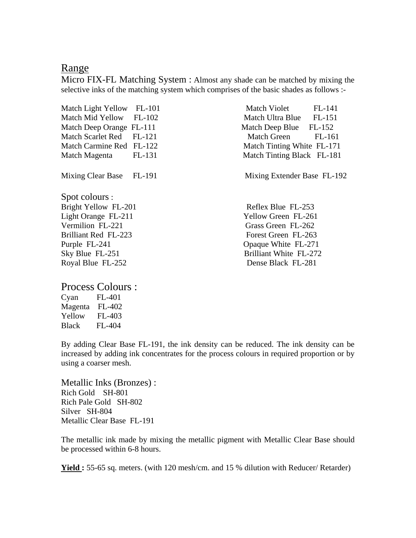#### Range

Micro FIX-FL Matching System : Almost any shade can be matched by mixing the selective inks of the matching system which comprises of the basic shades as follows :-

| Match Light Yellow FL-101 |          | Match Violet<br>FL-141         |
|---------------------------|----------|--------------------------------|
| <b>Match Mid Yellow</b>   | $FL-102$ | Match Ultra Blue FL-151        |
| Match Deep Orange FL-111  |          | Match Deep Blue FL-152         |
| Match Scarlet Red         | $FL-121$ | <b>Match Green</b><br>$FL-161$ |
| Match Carmine Red FL-122  |          | Match Tinting White FL-171     |
| Match Magenta             | FL-131   | Match Tinting Black FL-181     |
| Mixing Clear Base FL-191  |          | Mixing Extender Base FL-192    |
| Spot colours :            |          |                                |
| Bright Yellow FL-201      |          | Reflex Blue FL-253             |
| Light Orange FL-211       |          | Yellow Green FL-261            |
| Vermilion FL-221          |          | Grass Green FL-262             |
| Brilliant Red FL-223      |          | Forest Green FL-263            |
| Purple FL-241             |          | Opaque White FL-271            |
| Sky Blue FL-251           |          | Brilliant White FL-272         |
| Royal Blue FL-252         |          | Dense Black FL-281             |

Process Colours :

| Cyan         | FL-401        |
|--------------|---------------|
| Magenta      | $FL-402$      |
| Yellow       | FL-403        |
| <b>Black</b> | <b>FL-404</b> |

By adding Clear Base FL-191, the ink density can be reduced. The ink density can be increased by adding ink concentrates for the process colours in required proportion or by using a coarser mesh.

Metallic Inks (Bronzes) : Rich Gold SH-801 Rich Pale Gold SH-802 Silver SH-804 Metallic Clear Base FL-191

The metallic ink made by mixing the metallic pigment with Metallic Clear Base should be processed within 6-8 hours.

**Yield :** 55-65 sq. meters. (with 120 mesh/cm. and 15 % dilution with Reducer/ Retarder)